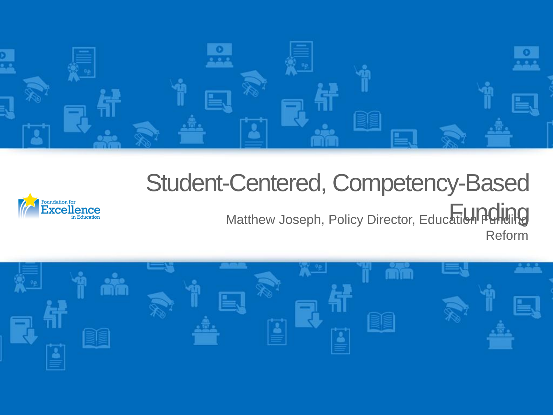

## Student-Centered, Competency-Based



Matthew Joseph, Policy Director, Education Pulling Reform

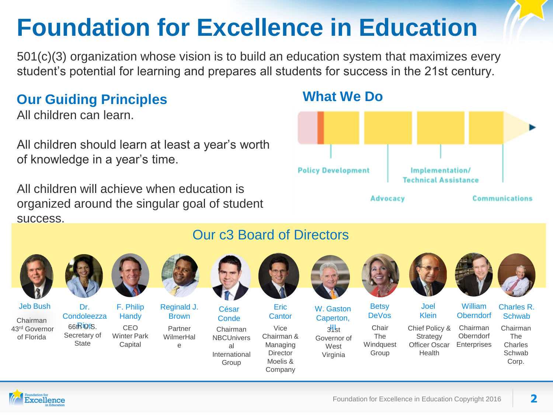# **Foundation for Excellence in Education**

501(c)(3) organization whose vision is to build an education system that maximizes every student's potential for learning and prepares all students for success in the 21st century.

#### **Our Guiding Principles**

All children can learn.

All children should learn at least a year's worth of knowledge in a year's time.

All children will achieve when education is organized around the singular goal of student success.

#### **What We Do**



Jeb Bush

Chairman 43rd Governor of Florida



**State** 

Dr. Condoleezza  $66t$ Riges. Secretary of



F. Philip **Handy** CEO Winter Park

Capital



**Brown** Partner WilmerHal e

César Conde

Chairman **NBCUnivers** al International

Group



Our c3 Board of Directors

Eric **Cantor** 

Vice Chairman & Managing **Director** Moelis & Company



W. Gaston Caperton,







**Betsy** DeVos



Klein Chief Policy & **Strategy** Officer Oscar Health





William **Oberndorf** Charles R. **Schwab** 

Chairman **Oberndorf Enterprises** 

Chairman The Charles **Schwab** Corp.

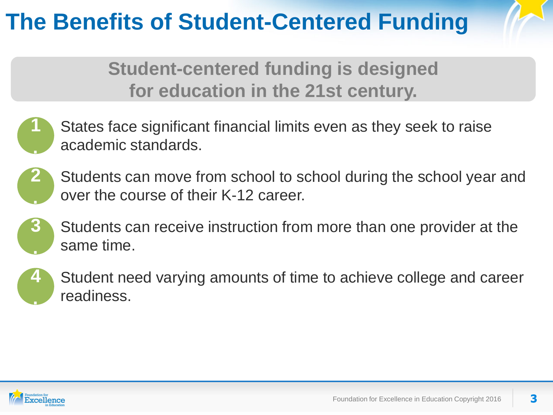## **The Benefits of Student-Centered Funding**

**Student-centered funding is designed for education in the 21st century.**







Students can receive instruction from more than one provider at the same time.



Student need varying amounts of time to achieve college and career readiness.

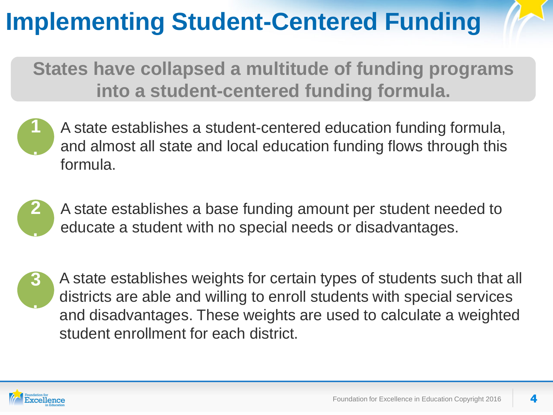# **Implementing Student-Centered Funding**

**States have collapsed a multitude of funding programs into a student-centered funding formula.**





A state establishes a base funding amount per student needed to educate a student with no special needs or disadvantages.



A state establishes weights for certain types of students such that all districts are able and willing to enroll students with special services and disadvantages. These weights are used to calculate a weighted student enrollment for each district.

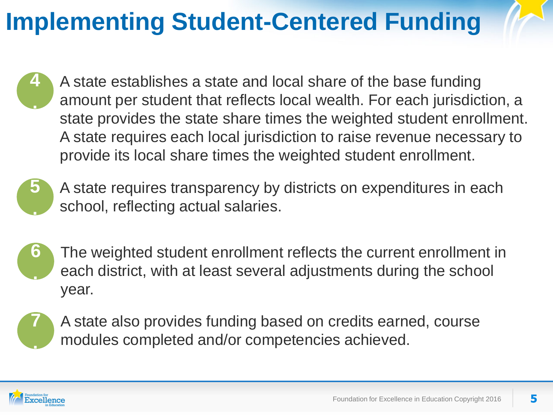# **Implementing Student-Centered Funding**

**4 .** A state establishes a state and local share of the base funding amount per student that reflects local wealth. For each jurisdiction, a state provides the state share times the weighted student enrollment. A state requires each local jurisdiction to raise revenue necessary to provide its local share times the weighted student enrollment.



A state requires transparency by districts on expenditures in each school, reflecting actual salaries.

**6 .** The weighted student enrollment reflects the current enrollment in each district, with at least several adjustments during the school year.



A state also provides funding based on credits earned, course modules completed and/or competencies achieved.

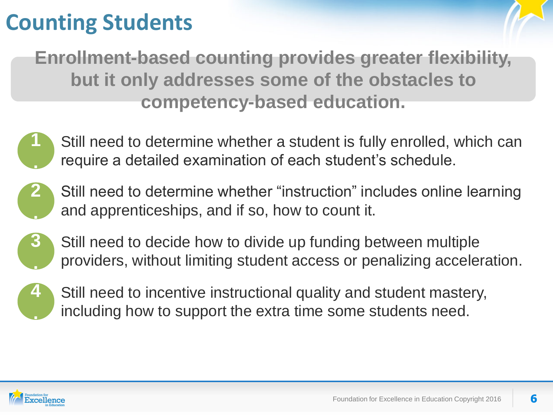## **Counting Students**

**Enrollment-based counting provides greater flexibility, but it only addresses some of the obstacles to competency-based education.**



Still need to determine whether "instruction" includes online learning and apprenticeships, and if so, how to count it. **2 .**



Still need to decide how to divide up funding between multiple providers, without limiting student access or penalizing acceleration.



Still need to incentive instructional quality and student mastery, including how to support the extra time some students need.

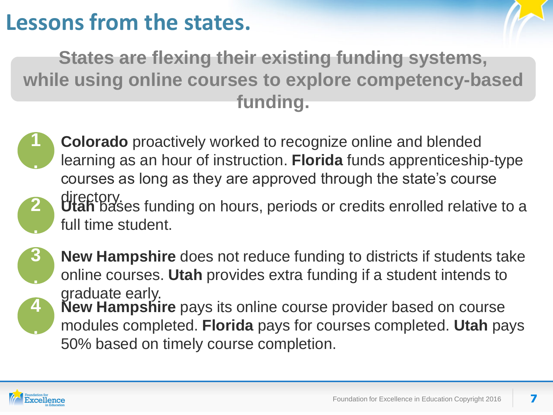#### **Lessons from the states.**

**States are flexing their existing funding systems, while using online courses to explore competency-based funding.**

- **1 .**
- **Colorado** proactively worked to recognize online and blended learning as an hour of instruction. **Florida** funds apprenticeship-type courses as long as they are approved through the state's course
- directory.<br>**Utah** bases funding on hours, periods or credits enrolled relative to a full time student.



**2**

**.**

**New Hampshire** does not reduce funding to districts if students take online courses. **Utah** provides extra funding if a student intends to graduate early.



**New Hampshire** pays its online course provider based on course modules completed. **Florida** pays for courses completed. **Utah** pays 50% based on timely course completion.